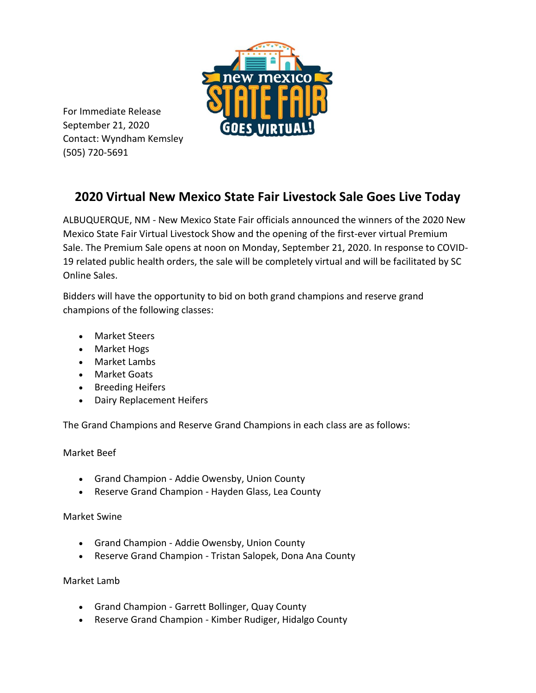

For Immediate Release September 21, 2020 Contact: Wyndham Kemsley (505) 720-5691

# **2020 Virtual New Mexico State Fair Livestock Sale Goes Live Today**

ALBUQUERQUE, NM - New Mexico State Fair officials announced the winners of the 2020 New Mexico State Fair Virtual Livestock Show and the opening of the first-ever virtual Premium Sale. The Premium Sale opens at noon on Monday, September 21, 2020. In response to COVID-19 related public health orders, the sale will be completely virtual and will be facilitated by SC Online Sales.

Bidders will have the opportunity to bid on both grand champions and reserve grand champions of the following classes:

- Market Steers
- Market Hogs
- Market Lambs
- Market Goats
- Breeding Heifers
- Dairy Replacement Heifers

The Grand Champions and Reserve Grand Champions in each class are as follows:

# Market Beef

- Grand Champion Addie Owensby, Union County
- Reserve Grand Champion Hayden Glass, Lea County

# Market Swine

- Grand Champion Addie Owensby, Union County
- Reserve Grand Champion Tristan Salopek, Dona Ana County

# Market Lamb

- Grand Champion Garrett Bollinger, Quay County
- Reserve Grand Champion Kimber Rudiger, Hidalgo County